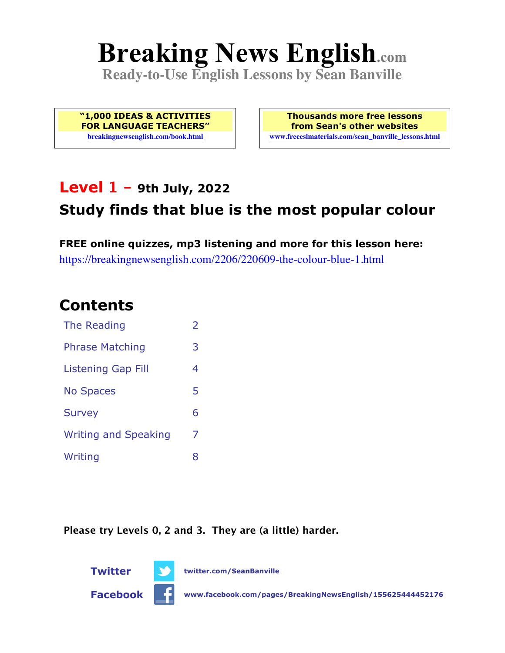# **Breaking News English.com**

**Ready-to-Use English Lessons by Sean Banville**

**"1,000 IDEAS & ACTIVITIES FOR LANGUAGE TEACHERS" breakingnewsenglish.com/book.html**

**Thousands more free lessons from Sean's other websites www.freeeslmaterials.com/sean\_banville\_lessons.html**

### **Level 1 - 9th July, 2022**

### **Study finds that blue is the most popular colour**

**FREE online quizzes, mp3 listening and more for this lesson here:** https://breakingnewsenglish.com/2206/220609-the-colour-blue-1.html

### **Contents**

| The Reading                 | $\overline{\phantom{a}}$ |
|-----------------------------|--------------------------|
| <b>Phrase Matching</b>      | 3                        |
| Listening Gap Fill          | 4                        |
| <b>No Spaces</b>            | 5                        |
| <b>Survey</b>               | 6                        |
| <b>Writing and Speaking</b> | 7                        |
| Writing                     | 8                        |

**Please try Levels 0, 2 and 3. They are (a little) harder.**





**Facebook www.facebook.com/pages/BreakingNewsEnglish/155625444452176**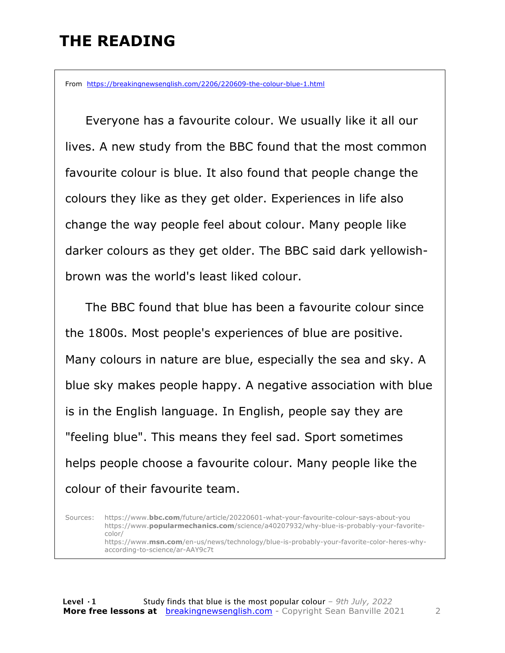## **THE READING**

From https://breakingnewsenglish.com/2206/220609-the-colour-blue-1.html

 Everyone has a favourite colour. We usually like it all our lives. A new study from the BBC found that the most common favourite colour is blue. It also found that people change the colours they like as they get older. Experiences in life also change the way people feel about colour. Many people like darker colours as they get older. The BBC said dark yellowishbrown was the world's least liked colour.

 The BBC found that blue has been a favourite colour since the 1800s. Most people's experiences of blue are positive. Many colours in nature are blue, especially the sea and sky. A blue sky makes people happy. A negative association with blue is in the English language. In English, people say they are "feeling blue". This means they feel sad. Sport sometimes helps people choose a favourite colour. Many people like the colour of their favourite team.

Sources: https://www.**bbc.com**/future/article/20220601-what-your-favourite-colour-says-about-you https://www.**popularmechanics.com**/science/a40207932/why-blue-is-probably-your-favoritecolor/ https://www.**msn.com**/en-us/news/technology/blue-is-probably-your-favorite-color-heres-whyaccording-to-science/ar-AAY9c7t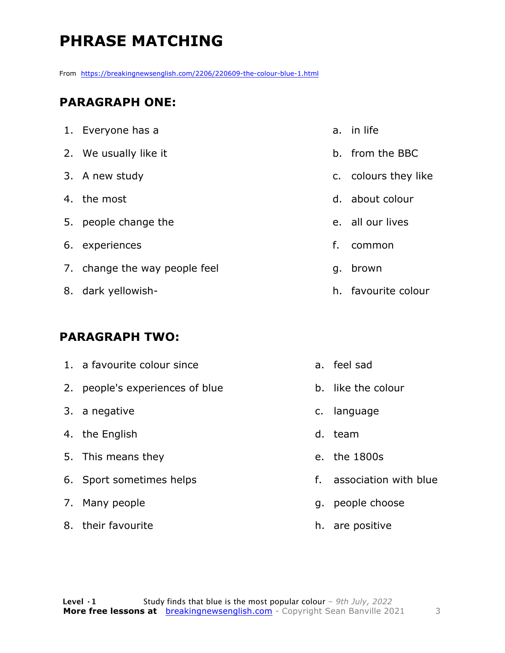# **PHRASE MATCHING**

From https://breakingnewsenglish.com/2206/220609-the-colour-blue-1.html

#### **PARAGRAPH ONE:**

| 1. Everyone has a             |    | a. in life           |
|-------------------------------|----|----------------------|
| 2. We usually like it         |    | b. from the BBC      |
| 3. A new study                |    | c. colours they like |
| 4. the most                   |    | d. about colour      |
| 5. people change the          |    | e. all our lives     |
| 6. experiences                | f. | common               |
| 7. change the way people feel | g. | brown                |
| 8. dark yellowish-            |    | h. favourite colour  |
|                               |    |                      |

#### **PARAGRAPH TWO:**

| 1. a favourite colour since     |    | a. feel sad           |
|---------------------------------|----|-----------------------|
| 2. people's experiences of blue |    | b. like the colour    |
| 3. a negative                   |    | c. language           |
| 4. the English                  | d. | team                  |
| 5. This means they              |    | e. the 1800s          |
| 6. Sport sometimes helps        | f. | association with blue |
| 7. Many people                  | q. | people choose         |
| 8. their favourite              |    | h. are positive       |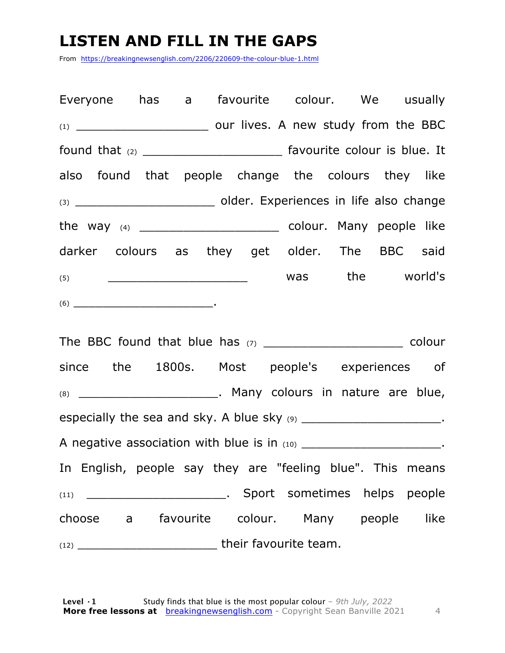# **LISTEN AND FILL IN THE GAPS**

From https://breakingnewsenglish.com/2206/220609-the-colour-blue-1.html

| Everyone has a favourite colour. We usually                                 |  |  |  |  |  |  |  |      |
|-----------------------------------------------------------------------------|--|--|--|--|--|--|--|------|
|                                                                             |  |  |  |  |  |  |  |      |
| found that (2) _______________________________ favourite colour is blue. It |  |  |  |  |  |  |  |      |
| also found that people change the colours they like                         |  |  |  |  |  |  |  |      |
|                                                                             |  |  |  |  |  |  |  |      |
|                                                                             |  |  |  |  |  |  |  |      |
| darker colours as they get older. The BBC said                              |  |  |  |  |  |  |  |      |
| $(5)$ $\qquad \qquad$ was the world's                                       |  |  |  |  |  |  |  |      |
|                                                                             |  |  |  |  |  |  |  |      |
| since the 1800s. Most people's experiences of                               |  |  |  |  |  |  |  |      |
| (8) ___________________________. Many colours in nature are blue,           |  |  |  |  |  |  |  |      |
| especially the sea and sky. A blue sky (9) _______________________________. |  |  |  |  |  |  |  |      |
|                                                                             |  |  |  |  |  |  |  |      |
| In English, people say they are "feeling blue". This means                  |  |  |  |  |  |  |  |      |
|                                                                             |  |  |  |  |  |  |  |      |
| choose a favourite colour. Many people                                      |  |  |  |  |  |  |  | like |
|                                                                             |  |  |  |  |  |  |  |      |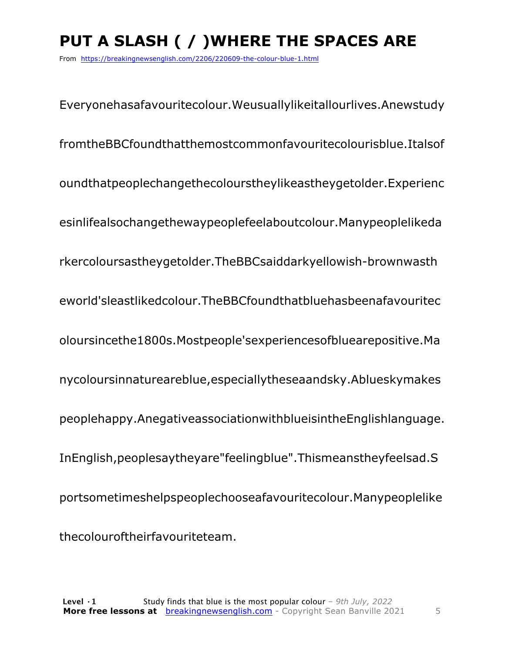# **PUT A SLASH ( / )WHERE THE SPACES ARE**

From https://breakingnewsenglish.com/2206/220609-the-colour-blue-1.html

Everyonehasafavouritecolour.Weusuallylikeitallourlives.Anewstudy fromtheBBCfoundthatthemostcommonfavouritecolourisblue.Italsof oundthatpeoplechangethecolourstheylikeastheygetolder.Experienc esinlifealsochangethewaypeoplefeelaboutcolour.Manypeoplelikeda rkercoloursastheygetolder.TheBBCsaiddarkyellowish-brownwasth eworld'sleastlikedcolour.TheBBCfoundthatbluehasbeenafavouritec oloursincethe1800s.Mostpeople'sexperiencesofbluearepositive.Ma nycoloursinnatureareblue,especiallytheseaandsky.Ablueskymakes peoplehappy.AnegativeassociationwithblueisintheEnglishlanguage. InEnglish,peoplesaytheyare"feelingblue".Thismeanstheyfeelsad.S portsometimeshelpspeoplechooseafavouritecolour.Manypeoplelike thecolouroftheirfavouriteteam.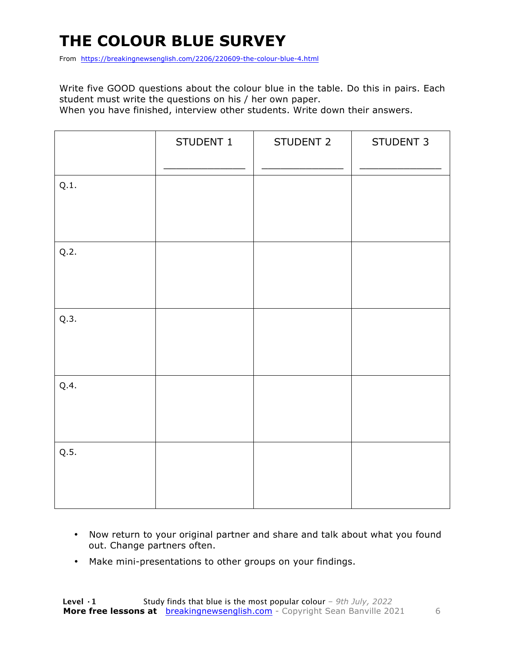# **THE COLOUR BLUE SURVEY**

From https://breakingnewsenglish.com/2206/220609-the-colour-blue-4.html

Write five GOOD questions about the colour blue in the table. Do this in pairs. Each student must write the questions on his / her own paper.

When you have finished, interview other students. Write down their answers.

|      | STUDENT 1 | STUDENT 2 | STUDENT 3 |
|------|-----------|-----------|-----------|
| Q.1. |           |           |           |
| Q.2. |           |           |           |
| Q.3. |           |           |           |
| Q.4. |           |           |           |
| Q.5. |           |           |           |

- Now return to your original partner and share and talk about what you found out. Change partners often.
- Make mini-presentations to other groups on your findings.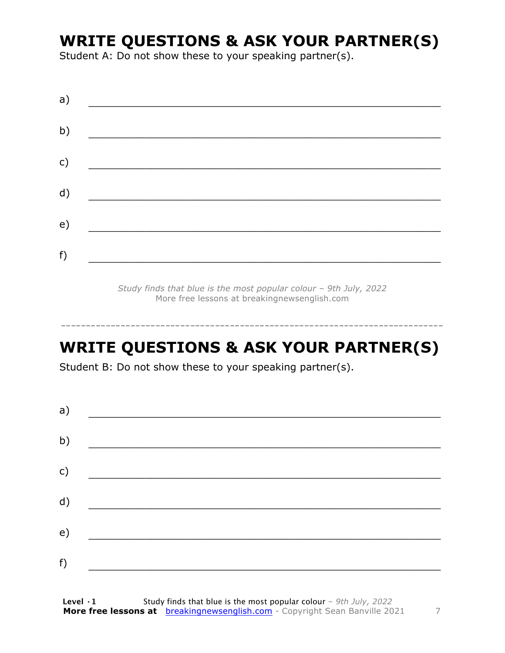### **WRITE QUESTIONS & ASK YOUR PARTNER(S)**

Student A: Do not show these to your speaking partner(s).

| a) |  |  |
|----|--|--|
| b) |  |  |
| c) |  |  |
| d) |  |  |
| e) |  |  |
| f) |  |  |
|    |  |  |

*Study finds that blue is the most popular colour – 9th July, 2022* More free lessons at breakingnewsenglish.com

### **WRITE QUESTIONS & ASK YOUR PARTNER(S)**

-----------------------------------------------------------------------------

Student B: Do not show these to your speaking partner(s).

| a) |  |  |
|----|--|--|
| b) |  |  |
| c) |  |  |
| d) |  |  |
| e) |  |  |
| f) |  |  |
|    |  |  |